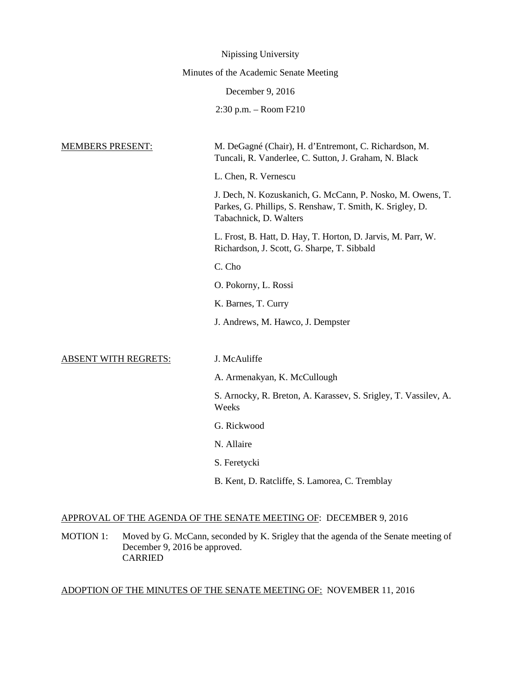|                                        | Nipissing University                                                                                                                              |  |
|----------------------------------------|---------------------------------------------------------------------------------------------------------------------------------------------------|--|
| Minutes of the Academic Senate Meeting |                                                                                                                                                   |  |
|                                        | December 9, 2016                                                                                                                                  |  |
|                                        | 2:30 p.m. - Room F210                                                                                                                             |  |
|                                        |                                                                                                                                                   |  |
| <b>MEMBERS PRESENT:</b>                | M. DeGagné (Chair), H. d'Entremont, C. Richardson, M.<br>Tuncali, R. Vanderlee, C. Sutton, J. Graham, N. Black                                    |  |
|                                        | L. Chen, R. Vernescu                                                                                                                              |  |
|                                        | J. Dech, N. Kozuskanich, G. McCann, P. Nosko, M. Owens, T.<br>Parkes, G. Phillips, S. Renshaw, T. Smith, K. Srigley, D.<br>Tabachnick, D. Walters |  |
|                                        | L. Frost, B. Hatt, D. Hay, T. Horton, D. Jarvis, M. Parr, W.<br>Richardson, J. Scott, G. Sharpe, T. Sibbald                                       |  |
|                                        | C. Cho                                                                                                                                            |  |
|                                        | O. Pokorny, L. Rossi                                                                                                                              |  |
|                                        | K. Barnes, T. Curry                                                                                                                               |  |
|                                        | J. Andrews, M. Hawco, J. Dempster                                                                                                                 |  |
|                                        |                                                                                                                                                   |  |
| <b>ABSENT WITH REGRETS:</b>            | J. McAuliffe                                                                                                                                      |  |
|                                        | A. Armenakyan, K. McCullough                                                                                                                      |  |
|                                        | S. Arnocky, R. Breton, A. Karassev, S. Srigley, T. Vassilev, A.<br>Weeks                                                                          |  |
|                                        | G. Rickwood                                                                                                                                       |  |
|                                        | N. Allaire                                                                                                                                        |  |
|                                        | S. Feretycki                                                                                                                                      |  |
|                                        | B. Kent, D. Ratcliffe, S. Lamorea, C. Tremblay                                                                                                    |  |

# APPROVAL OF THE AGENDA OF THE SENATE MEETING OF: DECEMBER 9, 2016

MOTION 1: Moved by G. McCann, seconded by K. Srigley that the agenda of the Senate meeting of December 9, 2016 be approved. CARRIED

# ADOPTION OF THE MINUTES OF THE SENATE MEETING OF: NOVEMBER 11, 2016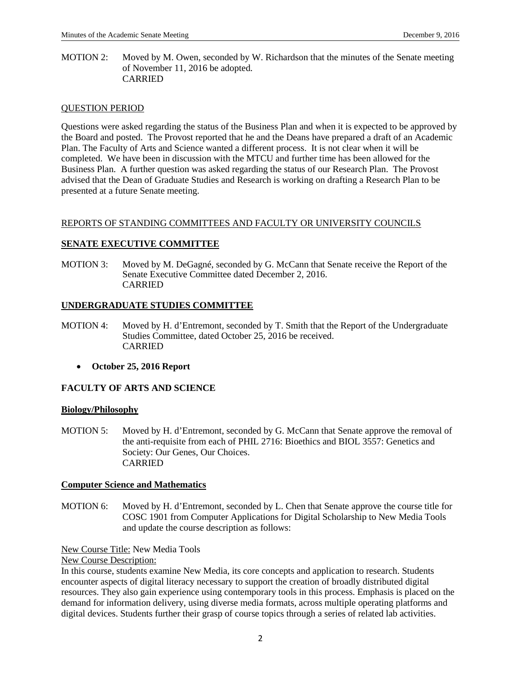MOTION 2: Moved by M. Owen, seconded by W. Richardson that the minutes of the Senate meeting of November 11, 2016 be adopted. CARRIED

### QUESTION PERIOD

Questions were asked regarding the status of the Business Plan and when it is expected to be approved by the Board and posted. The Provost reported that he and the Deans have prepared a draft of an Academic Plan. The Faculty of Arts and Science wanted a different process. It is not clear when it will be completed. We have been in discussion with the MTCU and further time has been allowed for the Business Plan. A further question was asked regarding the status of our Research Plan. The Provost advised that the Dean of Graduate Studies and Research is working on drafting a Research Plan to be presented at a future Senate meeting.

#### REPORTS OF STANDING COMMITTEES AND FACULTY OR UNIVERSITY COUNCILS

# **SENATE EXECUTIVE COMMITTEE**

MOTION 3: Moved by M. DeGagné, seconded by G. McCann that Senate receive the Report of the Senate Executive Committee dated December 2, 2016. CARRIED

#### **UNDERGRADUATE STUDIES COMMITTEE**

- MOTION 4: Moved by H. d'Entremont, seconded by T. Smith that the Report of the Undergraduate Studies Committee, dated October 25, 2016 be received. CARRIED
	- **October 25, 2016 Report**

# **FACULTY OF ARTS AND SCIENCE**

#### **Biology/Philosophy**

MOTION 5: Moved by H. d'Entremont, seconded by G. McCann that Senate approve the removal of the anti-requisite from each of PHIL 2716: Bioethics and BIOL 3557: Genetics and Society: Our Genes, Our Choices. CARRIED

#### **Computer Science and Mathematics**

MOTION 6: Moved by H. d'Entremont, seconded by L. Chen that Senate approve the course title for COSC 1901 from Computer Applications for Digital Scholarship to New Media Tools and update the course description as follows:

#### New Course Title: New Media Tools

#### New Course Description:

In this course, students examine New Media, its core concepts and application to research. Students encounter aspects of digital literacy necessary to support the creation of broadly distributed digital resources. They also gain experience using contemporary tools in this process. Emphasis is placed on the demand for information delivery, using diverse media formats, across multiple operating platforms and digital devices. Students further their grasp of course topics through a series of related lab activities.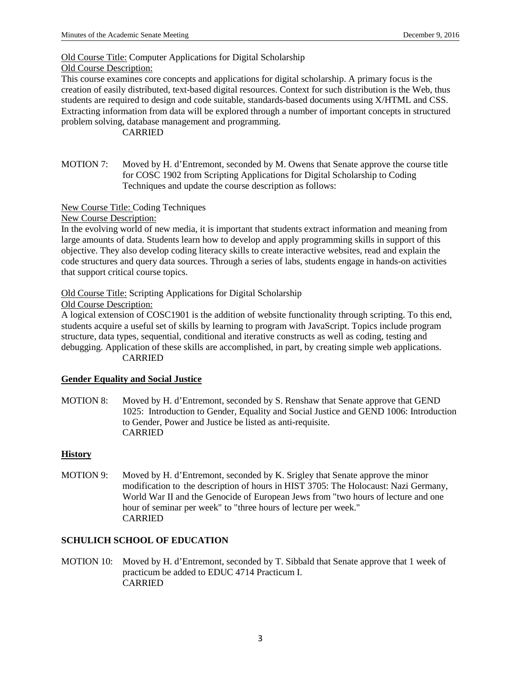Old Course Title: Computer Applications for Digital Scholarship

# Old Course Description:

This course examines core concepts and applications for digital scholarship. A primary focus is the creation of easily distributed, text-based digital resources. Context for such distribution is the Web, thus students are required to design and code suitable, standards-based documents using X/HTML and CSS. Extracting information from data will be explored through a number of important concepts in structured problem solving, database management and programming.

# CARRIED

MOTION 7: Moved by H. d'Entremont, seconded by M. Owens that Senate approve the course title for COSC 1902 from Scripting Applications for Digital Scholarship to Coding Techniques and update the course description as follows:

New Course Title: Coding Techniques

New Course Description:

In the evolving world of new media, it is important that students extract information and meaning from large amounts of data. Students learn how to develop and apply programming skills in support of this objective. They also develop coding literacy skills to create interactive websites, read and explain the code structures and query data sources. Through a series of labs, students engage in hands-on activities that support critical course topics.

Old Course Title: Scripting Applications for Digital Scholarship

Old Course Description:

A logical extension of COSC1901 is the addition of website functionality through scripting. To this end, students acquire a useful set of skills by learning to program with JavaScript. Topics include program structure, data types, sequential, conditional and iterative constructs as well as coding, testing and debugging. Application of these skills are accomplished, in part, by creating simple web applications. CARRIED

# **Gender Equality and Social Justice**

MOTION 8: Moved by H. d'Entremont, seconded by S. Renshaw that Senate approve that GEND 1025: Introduction to Gender, Equality and Social Justice and GEND 1006: Introduction to Gender, Power and Justice be listed as anti-requisite. CARRIED

# **History**

MOTION 9: Moved by H. d'Entremont, seconded by K. Srigley that Senate approve the minor modification to the description of hours in HIST 3705: The Holocaust: Nazi Germany, World War II and the Genocide of European Jews from "two hours of lecture and one hour of seminar per week" to "three hours of lecture per week." CARRIED

# **SCHULICH SCHOOL OF EDUCATION**

MOTION 10: Moved by H. d'Entremont, seconded by T. Sibbald that Senate approve that 1 week of practicum be added to EDUC 4714 Practicum I. CARRIED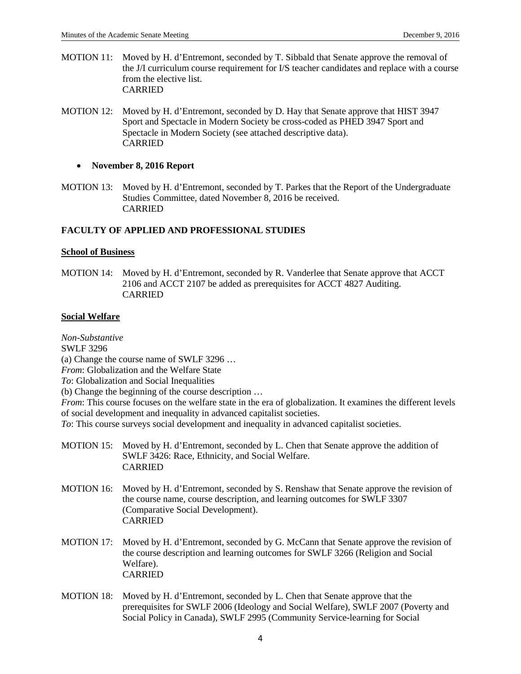- MOTION 11: Moved by H. d'Entremont, seconded by T. Sibbald that Senate approve the removal of the J/I curriculum course requirement for I/S teacher candidates and replace with a course from the elective list. CARRIED
- MOTION 12: Moved by H. d'Entremont, seconded by D. Hay that Senate approve that HIST 3947 Sport and Spectacle in Modern Society be cross-coded as PHED 3947 Sport and Spectacle in Modern Society (see attached descriptive data). CARRIED

#### • **November 8, 2016 Report**

MOTION 13: Moved by H. d'Entremont, seconded by T. Parkes that the Report of the Undergraduate Studies Committee, dated November 8, 2016 be received. CARRIED

# **FACULTY OF APPLIED AND PROFESSIONAL STUDIES**

#### **School of Business**

MOTION 14: Moved by H. d'Entremont, seconded by R. Vanderlee that Senate approve that ACCT 2106 and ACCT 2107 be added as prerequisites for ACCT 4827 Auditing. CARRIED

#### **Social Welfare**

*Non-Substantive* 

SWLF 3296

(a) Change the course name of SWLF 3296 …

*From*: Globalization and the Welfare State

*To*: Globalization and Social Inequalities

(b) Change the beginning of the course description …

*From*: This course focuses on the welfare state in the era of globalization. It examines the different levels of social development and inequality in advanced capitalist societies.

*To*: This course surveys social development and inequality in advanced capitalist societies.

- MOTION 15: Moved by H. d'Entremont, seconded by L. Chen that Senate approve the addition of SWLF 3426: Race, Ethnicity, and Social Welfare. CARRIED
- MOTION 16: Moved by H. d'Entremont, seconded by S. Renshaw that Senate approve the revision of the course name, course description, and learning outcomes for SWLF 3307 (Comparative Social Development). CARRIED
- MOTION 17: Moved by H. d'Entremont, seconded by G. McCann that Senate approve the revision of the course description and learning outcomes for SWLF 3266 (Religion and Social Welfare). CARRIED
- MOTION 18: Moved by H. d'Entremont, seconded by L. Chen that Senate approve that the prerequisites for SWLF 2006 (Ideology and Social Welfare), SWLF 2007 (Poverty and Social Policy in Canada), SWLF 2995 (Community Service-learning for Social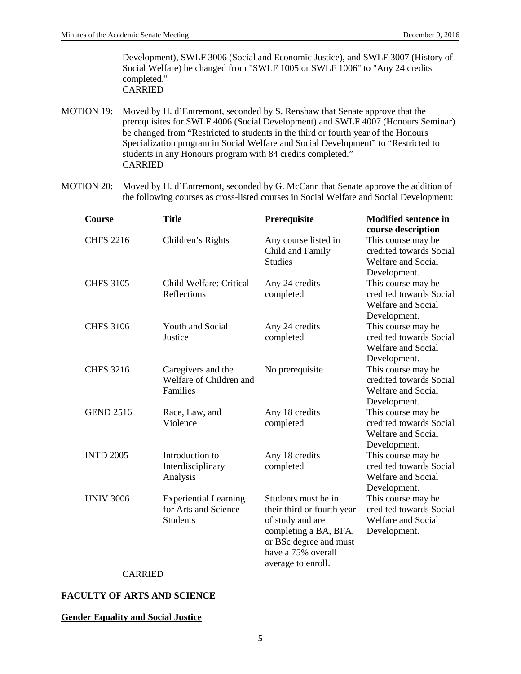Development), SWLF 3006 (Social and Economic Justice), and SWLF 3007 (History of Social Welfare) be changed from "SWLF 1005 or SWLF 1006" to "Any 24 credits completed." **CARRIED** 

- MOTION 19: Moved by H. d'Entremont, seconded by S. Renshaw that Senate approve that the prerequisites for SWLF 4006 (Social Development) and SWLF 4007 (Honours Seminar) be changed from "Restricted to students in the third or fourth year of the Honours Specialization program in Social Welfare and Social Development" to "Restricted to students in any Honours program with 84 credits completed." CARRIED
- MOTION 20: Moved by H. d'Entremont, seconded by G. McCann that Senate approve the addition of the following courses as cross-listed courses in Social Welfare and Social Development:

| Course           | <b>Title</b>                                                            | Prerequisite                                                                                                                                                         | <b>Modified sentence in</b><br>course description                                          |
|------------------|-------------------------------------------------------------------------|----------------------------------------------------------------------------------------------------------------------------------------------------------------------|--------------------------------------------------------------------------------------------|
| <b>CHFS 2216</b> | Children's Rights                                                       | Any course listed in<br>Child and Family<br><b>Studies</b>                                                                                                           | This course may be<br>credited towards Social<br><b>Welfare and Social</b><br>Development. |
| <b>CHFS 3105</b> | Child Welfare: Critical<br>Reflections                                  | Any 24 credits<br>completed                                                                                                                                          | This course may be<br>credited towards Social<br><b>Welfare and Social</b><br>Development. |
| <b>CHFS 3106</b> | Youth and Social<br>Justice                                             | Any 24 credits<br>completed                                                                                                                                          | This course may be<br>credited towards Social<br><b>Welfare and Social</b><br>Development. |
| <b>CHFS 3216</b> | Caregivers and the<br>Welfare of Children and<br>Families               | No prerequisite                                                                                                                                                      | This course may be<br>credited towards Social<br><b>Welfare and Social</b><br>Development. |
| <b>GEND 2516</b> | Race, Law, and<br>Violence                                              | Any 18 credits<br>completed                                                                                                                                          | This course may be<br>credited towards Social<br><b>Welfare and Social</b><br>Development. |
| <b>INTD 2005</b> | Introduction to<br>Interdisciplinary<br>Analysis                        | Any 18 credits<br>completed                                                                                                                                          | This course may be<br>credited towards Social<br><b>Welfare and Social</b><br>Development. |
| <b>UNIV 3006</b> | <b>Experiential Learning</b><br>for Arts and Science<br><b>Students</b> | Students must be in<br>their third or fourth year<br>of study and are<br>completing a BA, BFA,<br>or BSc degree and must<br>have a 75% overall<br>average to enroll. | This course may be<br>credited towards Social<br><b>Welfare and Social</b><br>Development. |

#### CARRIED

#### **FACULTY OF ARTS AND SCIENCE**

#### **Gender Equality and Social Justice**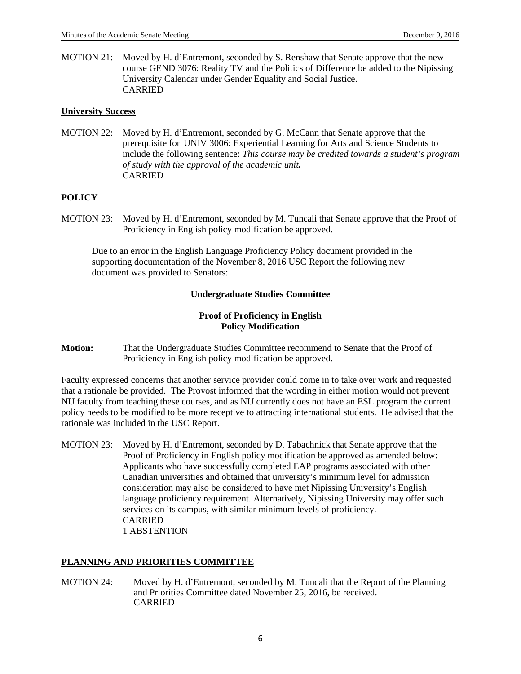MOTION 21: Moved by H. d'Entremont, seconded by S. Renshaw that Senate approve that the new course GEND 3076: Reality TV and the Politics of Difference be added to the Nipissing University Calendar under Gender Equality and Social Justice. CARRIED

#### **University Success**

MOTION 22: Moved by H. d'Entremont, seconded by G. McCann that Senate approve that the prerequisite for UNIV 3006: Experiential Learning for Arts and Science Students to include the following sentence: *This course may be credited towards a student's program of study with the approval of the academic unit.*  CARRIED

# **POLICY**

MOTION 23: Moved by H. d'Entremont, seconded by M. Tuncali that Senate approve that the Proof of Proficiency in English policy modification be approved.

Due to an error in the English Language Proficiency Policy document provided in the supporting documentation of the November 8, 2016 USC Report the following new document was provided to Senators:

#### **Undergraduate Studies Committee**

# **Proof of Proficiency in English Policy Modification**

**Motion:** That the Undergraduate Studies Committee recommend to Senate that the Proof of Proficiency in English policy modification be approved.

Faculty expressed concerns that another service provider could come in to take over work and requested that a rationale be provided. The Provost informed that the wording in either motion would not prevent NU faculty from teaching these courses, and as NU currently does not have an ESL program the current policy needs to be modified to be more receptive to attracting international students. He advised that the rationale was included in the USC Report.

MOTION 23: Moved by H. d'Entremont, seconded by D. Tabachnick that Senate approve that the Proof of Proficiency in English policy modification be approved as amended below: Applicants who have successfully completed EAP programs associated with other Canadian universities and obtained that university's minimum level for admission consideration may also be considered to have met Nipissing University's English language proficiency requirement. Alternatively, Nipissing University may offer such services on its campus, with similar minimum levels of proficiency. CARRIED 1 ABSTENTION

# **PLANNING AND PRIORITIES COMMITTEE**

MOTION 24: Moved by H. d'Entremont, seconded by M. Tuncali that the Report of the Planning and Priorities Committee dated November 25, 2016, be received. CARRIED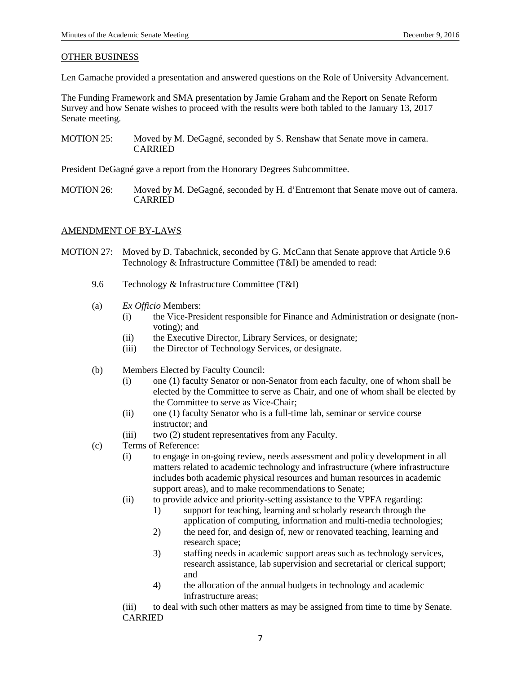#### OTHER BUSINESS

Len Gamache provided a presentation and answered questions on the Role of University Advancement.

The Funding Framework and SMA presentation by Jamie Graham and the Report on Senate Reform Survey and how Senate wishes to proceed with the results were both tabled to the January 13, 2017 Senate meeting.

MOTION 25: Moved by M. DeGagné, seconded by S. Renshaw that Senate move in camera. CARRIED

President DeGagné gave a report from the Honorary Degrees Subcommittee.

MOTION 26: Moved by M. DeGagné, seconded by H. d'Entremont that Senate move out of camera. CARRIED

#### AMENDMENT OF BY-LAWS

- MOTION 27: Moved by D. Tabachnick, seconded by G. McCann that Senate approve that Article 9.6 Technology & Infrastructure Committee (T&I) be amended to read:
	- 9.6 Technology & Infrastructure Committee (T&I)
	- (a) *Ex Officio* Members:
		- (i) the Vice-President responsible for Finance and Administration or designate (nonvoting); and
		- (ii) the Executive Director, Library Services, or designate;
		- (iii) the Director of Technology Services, or designate.
	- (b) Members Elected by Faculty Council:
		- (i) one (1) faculty Senator or non-Senator from each faculty, one of whom shall be elected by the Committee to serve as Chair, and one of whom shall be elected by the Committee to serve as Vice-Chair;
		- (ii) one (1) faculty Senator who is a full-time lab, seminar or service course instructor; and
		- (iii) two (2) student representatives from any Faculty.
	- (c) Terms of Reference:
		- (i) to engage in on-going review, needs assessment and policy development in all matters related to academic technology and infrastructure (where infrastructure includes both academic physical resources and human resources in academic support areas), and to make recommendations to Senate;
		- (ii) to provide advice and priority-setting assistance to the VPFA regarding:
			- 1) support for teaching, learning and scholarly research through the application of computing, information and multi-media technologies;
			- 2) the need for, and design of, new or renovated teaching, learning and research space;
			- 3) staffing needs in academic support areas such as technology services, research assistance, lab supervision and secretarial or clerical support; and
			- 4) the allocation of the annual budgets in technology and academic infrastructure areas;

(iii) to deal with such other matters as may be assigned from time to time by Senate. CARRIED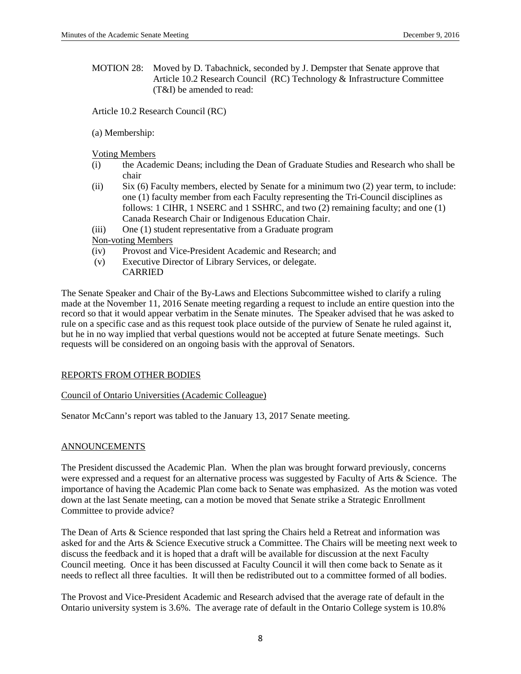MOTION 28: Moved by D. Tabachnick, seconded by J. Dempster that Senate approve that Article 10.2 Research Council (RC) Technology & Infrastructure Committee (T&I) be amended to read:

Article 10.2 Research Council (RC)

(a) Membership:

Voting Members

- (i) the Academic Deans; including the Dean of Graduate Studies and Research who shall be chair
- (ii) Six (6) Faculty members, elected by Senate for a minimum two (2) year term, to include: one (1) faculty member from each Faculty representing the Tri-Council disciplines as follows: 1 CIHR, 1 NSERC and 1 SSHRC, and two  $(2)$  remaining faculty; and one  $(1)$ Canada Research Chair or Indigenous Education Chair.
- (iii) One (1) student representative from a Graduate program

Non-voting Members

- (iv) Provost and Vice-President Academic and Research; and
- (v) Executive Director of Library Services, or delegate. CARRIED

The Senate Speaker and Chair of the By-Laws and Elections Subcommittee wished to clarify a ruling made at the November 11, 2016 Senate meeting regarding a request to include an entire question into the record so that it would appear verbatim in the Senate minutes. The Speaker advised that he was asked to rule on a specific case and as this request took place outside of the purview of Senate he ruled against it, but he in no way implied that verbal questions would not be accepted at future Senate meetings. Such requests will be considered on an ongoing basis with the approval of Senators.

# REPORTS FROM OTHER BODIES

Council of Ontario Universities (Academic Colleague)

Senator McCann's report was tabled to the January 13, 2017 Senate meeting.

# ANNOUNCEMENTS

The President discussed the Academic Plan. When the plan was brought forward previously, concerns were expressed and a request for an alternative process was suggested by Faculty of Arts & Science. The importance of having the Academic Plan come back to Senate was emphasized. As the motion was voted down at the last Senate meeting, can a motion be moved that Senate strike a Strategic Enrollment Committee to provide advice?

The Dean of Arts & Science responded that last spring the Chairs held a Retreat and information was asked for and the Arts & Science Executive struck a Committee. The Chairs will be meeting next week to discuss the feedback and it is hoped that a draft will be available for discussion at the next Faculty Council meeting. Once it has been discussed at Faculty Council it will then come back to Senate as it needs to reflect all three faculties. It will then be redistributed out to a committee formed of all bodies.

The Provost and Vice-President Academic and Research advised that the average rate of default in the Ontario university system is 3.6%. The average rate of default in the Ontario College system is 10.8%